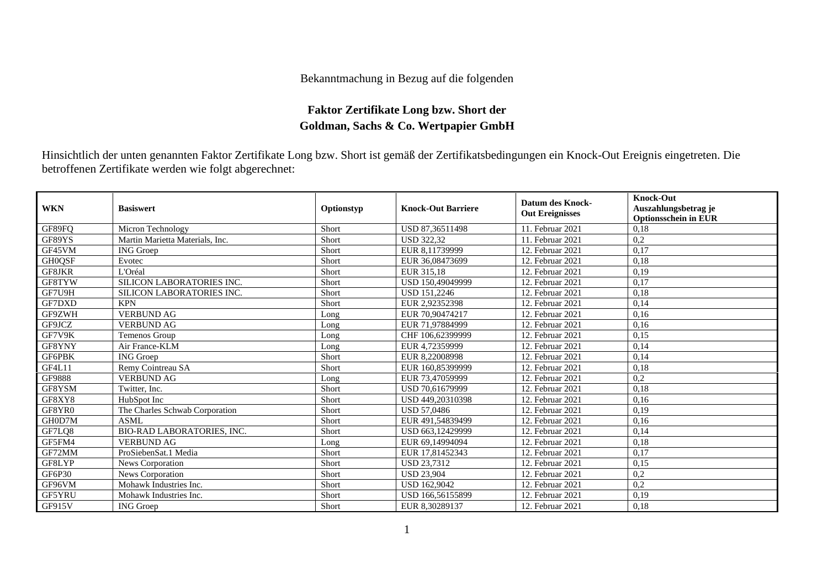## Bekanntmachung in Bezug auf die folgenden

## **Faktor Zertifikate Long bzw. Short der Goldman, Sachs & Co. Wertpapier GmbH**

Hinsichtlich der unten genannten Faktor Zertifikate Long bzw. Short ist gemäß der Zertifikatsbedingungen ein Knock-Out Ereignis eingetreten. Die betroffenen Zertifikate werden wie folgt abgerechnet:

| <b>WKN</b>    | <b>Basiswert</b>                  | Optionstyp | <b>Knock-Out Barriere</b> | <b>Datum des Knock-</b><br><b>Out Ereignisses</b> | <b>Knock-Out</b><br>Auszahlungsbetrag je<br><b>Optionsschein in EUR</b> |
|---------------|-----------------------------------|------------|---------------------------|---------------------------------------------------|-------------------------------------------------------------------------|
| GF89FQ        | Micron Technology                 | Short      | USD 87,36511498           | 11. Februar 2021                                  | 0.18                                                                    |
| GF89YS        | Martin Marietta Materials, Inc.   | Short      | <b>USD 322.32</b>         | 11. Februar 2021                                  | 0,2                                                                     |
| GF45VM        | <b>ING</b> Groep                  | Short      | EUR 8.11739999            | 12. Februar 2021                                  | 0,17                                                                    |
| <b>GH0QSF</b> | Evotec                            | Short      | EUR 36,08473699           | 12. Februar 2021                                  | 0,18                                                                    |
| GF8JKR        | L'Oréal                           | Short      | EUR 315,18                | 12. Februar 2021                                  | 0,19                                                                    |
| GF8TYW        | SILICON LABORATORIES INC.         | Short      | USD 150,49049999          | 12. Februar 2021                                  | 0,17                                                                    |
| GF7U9H        | SILICON LABORATORIES INC.         | Short      | <b>USD 151.2246</b>       | 12. Februar 2021                                  | 0,18                                                                    |
| GF7DXD        | <b>KPN</b>                        | Short      | EUR 2.92352398            | 12. Februar 2021                                  | 0,14                                                                    |
| GF9ZWH        | <b>VERBUND AG</b>                 | Long       | EUR 70,90474217           | 12. Februar 2021                                  | 0.16                                                                    |
| GF9JCZ        | <b>VERBUND AG</b>                 | Long       | EUR 71,97884999           | 12. Februar 2021                                  | 0,16                                                                    |
| GF7V9K        | Temenos Group                     | Long       | CHF 106,62399999          | 12. Februar 2021                                  | 0,15                                                                    |
| GF8YNY        | Air France-KLM                    | Long       | EUR 4.72359999            | 12. Februar 2021                                  | 0,14                                                                    |
| GF6PBK        | <b>ING</b> Groep                  | Short      | EUR 8.22008998            | 12. Februar 2021                                  | 0.14                                                                    |
| <b>GF4L11</b> | Remy Cointreau SA                 | Short      | EUR 160,85399999          | 12. Februar 2021                                  | 0,18                                                                    |
| GF9888        | <b>VERBUND AG</b>                 | Long       | EUR 73,47059999           | 12. Februar 2021                                  | 0,2                                                                     |
| GF8YSM        | Twitter, Inc.                     | Short      | USD 70.61679999           | 12. Februar 2021                                  | 0,18                                                                    |
| GF8XY8        | HubSpot Inc                       | Short      | USD 449.20310398          | 12. Februar 2021                                  | 0.16                                                                    |
| GF8YR0        | The Charles Schwab Corporation    | Short      | <b>USD 57,0486</b>        | 12. Februar 2021                                  | 0,19                                                                    |
| GH0D7M        | ASML                              | Short      | EUR 491,54839499          | 12. Februar 2021                                  | 0,16                                                                    |
| GF7LQ8        | <b>BIO-RAD LABORATORIES, INC.</b> | Short      | USD 663,12429999          | 12. Februar 2021                                  | 0,14                                                                    |
| GF5FM4        | <b>VERBUND AG</b>                 | Long       | EUR 69,14994094           | 12. Februar 2021                                  | 0,18                                                                    |
| GF72MM        | ProSiebenSat.1 Media              | Short      | EUR 17,81452343           | 12. Februar 2021                                  | 0,17                                                                    |
| GF8LYP        | News Corporation                  | Short      | <b>USD 23,7312</b>        | 12. Februar 2021                                  | 0,15                                                                    |
| GF6P30        | News Corporation                  | Short      | <b>USD 23.904</b>         | 12. Februar 2021                                  | 0,2                                                                     |
| GF96VM        | Mohawk Industries Inc.            | Short      | <b>USD 162,9042</b>       | 12. Februar 2021                                  | 0,2                                                                     |
| GF5YRU        | Mohawk Industries Inc.            | Short      | USD 166,56155899          | 12. Februar 2021                                  | 0,19                                                                    |
| GF915V        | <b>ING</b> Groep                  | Short      | EUR 8,30289137            | 12. Februar 2021                                  | 0,18                                                                    |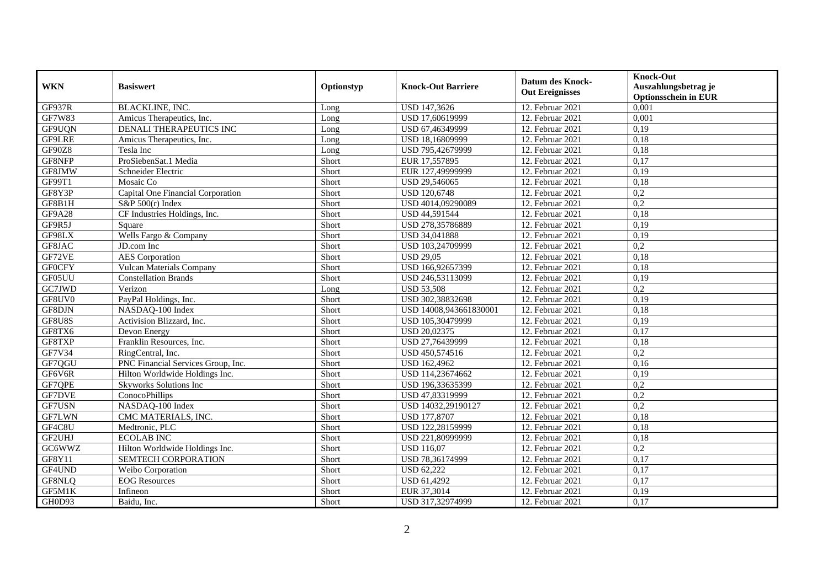| <b>WKN</b>    | <b>Basiswert</b>                   | Optionstyp | <b>Knock-Out Barriere</b> | <b>Datum des Knock-</b><br><b>Out Ereignisses</b> | <b>Knock-Out</b><br>Auszahlungsbetrag je<br><b>Optionsschein in EUR</b> |
|---------------|------------------------------------|------------|---------------------------|---------------------------------------------------|-------------------------------------------------------------------------|
| <b>GF937R</b> | <b>BLACKLINE, INC.</b>             | Long       | USD 147,3626              | 12. Februar 2021                                  | 0,001                                                                   |
| <b>GF7W83</b> | Amicus Therapeutics, Inc.          | Long       | USD 17,60619999           | 12. Februar 2021                                  | 0,001                                                                   |
| GF9UQN        | <b>DENALI THERAPEUTICS INC</b>     | Long       | USD 67,46349999           | 12. Februar 2021                                  | 0,19                                                                    |
| GF9LRE        | Amicus Therapeutics, Inc.          | Long       | USD 18,16809999           | 12. Februar 2021                                  | 0,18                                                                    |
| GF90Z8        | Tesla Inc                          | Long       | USD 795,42679999          | 12. Februar 2021                                  | 0,18                                                                    |
| GF8NFP        | ProSiebenSat.1 Media               | Short      | EUR 17,557895             | 12. Februar 2021                                  | 0,17                                                                    |
| GF8JMW        | Schneider Electric                 | Short      | EUR 127,49999999          | 12. Februar 2021                                  | 0,19                                                                    |
| GF99T1        | Mosaic Co                          | Short      | USD 29,546065             | 12. Februar 2021                                  | 0,18                                                                    |
| GF8Y3P        | Capital One Financial Corporation  | Short      | <b>USD 120,6748</b>       | 12. Februar 2021                                  | 0,2                                                                     |
| GF8B1H        | $S\&P 500(r)$ Index                | Short      | USD 4014,09290089         | 12. Februar 2021                                  | 0,2                                                                     |
| GF9A28        | CF Industries Holdings, Inc.       | Short      | USD 44,591544             | 12. Februar 2021                                  | 0,18                                                                    |
| GF9R5J        | Square                             | Short      | USD 278,35786889          | 12. Februar 2021                                  | 0,19                                                                    |
| GF98LX        | Wells Fargo & Company              | Short      | USD 34,041888             | 12. Februar 2021                                  | 0,19                                                                    |
| GF8JAC        | JD.com Inc                         | Short      | USD 103,24709999          | 12. Februar 2021                                  | 0,2                                                                     |
| GF72VE        | <b>AES</b> Corporation             | Short      | <b>USD 29,05</b>          | 12. Februar 2021                                  | 0,18                                                                    |
| <b>GFOCFY</b> | <b>Vulcan Materials Company</b>    | Short      | USD 166,92657399          | 12. Februar 2021                                  | 0,18                                                                    |
| GF05UU        | <b>Constellation Brands</b>        | Short      | USD 246,53113099          | 12. Februar 2021                                  | 0,19                                                                    |
| GC7JWD        | Verizon                            | Long       | <b>USD 53.508</b>         | 12. Februar 2021                                  | 0,2                                                                     |
| GF8UV0        | PayPal Holdings, Inc.              | Short      | USD 302,38832698          | 12. Februar 2021                                  | 0,19                                                                    |
| GF8DJN        | NASDAQ-100 Index                   | Short      | USD 14008,943661830001    | 12. Februar 2021                                  | 0,18                                                                    |
| GF8U8S        | Activision Blizzard, Inc.          | Short      | USD 105,30479999          | 12. Februar 2021                                  | 0,19                                                                    |
| GF8TX6        | Devon Energy                       | Short      | <b>USD 20,02375</b>       | 12. Februar 2021                                  | 0,17                                                                    |
| GF8TXP        | Franklin Resources, Inc.           | Short      | USD 27,76439999           | 12. Februar 2021                                  | 0,18                                                                    |
| GF7V34        | RingCentral, Inc.                  | Short      | USD 450,574516            | 12. Februar 2021                                  | 0,2                                                                     |
| GF7QGU        | PNC Financial Services Group, Inc. | Short      | USD 162,4962              | 12. Februar 2021                                  | 0,16                                                                    |
| GF6V6R        | Hilton Worldwide Holdings Inc.     | Short      | USD 114,23674662          | 12. Februar 2021                                  | 0,19                                                                    |
| GF7QPE        | Skyworks Solutions Inc             | Short      | USD 196,33635399          | 12. Februar 2021                                  | 0,2                                                                     |
| <b>GF7DVE</b> | ConocoPhillips                     | Short      | USD 47,83319999           | 12. Februar 2021                                  | 0,2                                                                     |
| GF7USN        | NASDAQ-100 Index                   | Short      | USD 14032,29190127        | 12. Februar 2021                                  | 0,2                                                                     |
| <b>GF7LWN</b> | CMC MATERIALS, INC.                | Short      | <b>USD 177,8707</b>       | 12. Februar 2021                                  | 0,18                                                                    |
| GF4C8U        | Medtronic, PLC                     | Short      | USD 122,28159999          | 12. Februar 2021                                  | 0,18                                                                    |
| GF2UHJ        | <b>ECOLAB INC</b>                  | Short      | USD 221,80999999          | 12. Februar 2021                                  | 0,18                                                                    |
| GC6WWZ        | Hilton Worldwide Holdings Inc.     | Short      | <b>USD 116,07</b>         | 12. Februar 2021                                  | 0,2                                                                     |
| GF8Y11        | SEMTECH CORPORATION                | Short      | USD 78,36174999           | 12. Februar 2021                                  | 0,17                                                                    |
| GF4UND        | Weibo Corporation                  | Short      | <b>USD 62,222</b>         | 12. Februar 2021                                  | 0,17                                                                    |
| GF8NLQ        | <b>EOG</b> Resources               | Short      | USD 61,4292               | 12. Februar 2021                                  | 0,17                                                                    |
| GF5M1K        | Infineon                           | Short      | EUR 37,3014               | 12. Februar 2021                                  | 0,19                                                                    |
| GH0D93        | Baidu, Inc.                        | Short      | USD 317,32974999          | 12. Februar 2021                                  | 0,17                                                                    |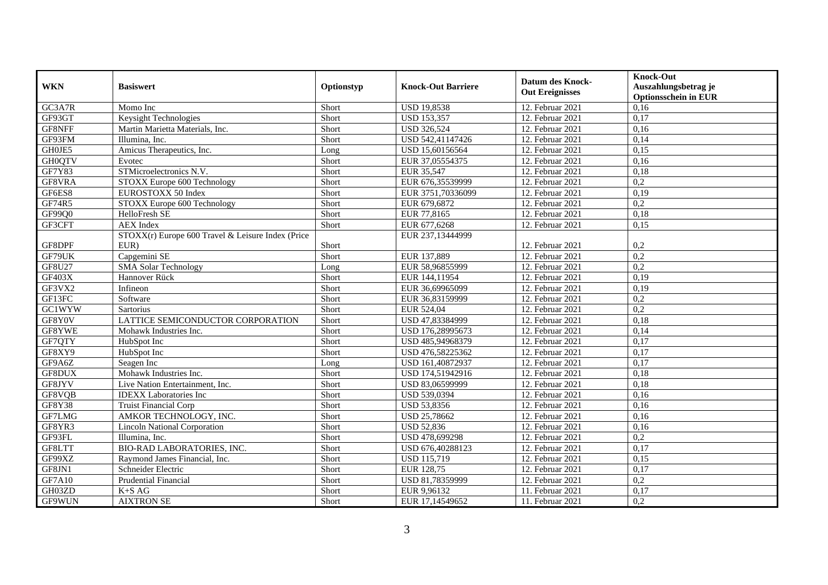| <b>WKN</b>    | <b>Basiswert</b>                                  | Optionstyp | <b>Knock-Out Barriere</b> | <b>Datum des Knock-</b><br><b>Out Ereignisses</b> | <b>Knock-Out</b><br>Auszahlungsbetrag je<br><b>Optionsschein in EUR</b> |
|---------------|---------------------------------------------------|------------|---------------------------|---------------------------------------------------|-------------------------------------------------------------------------|
| GC3A7R        | Momo Inc                                          | Short      | <b>USD 19,8538</b>        | 12. Februar 2021                                  | 0,16                                                                    |
| GF93GT        | Keysight Technologies                             | Short      | <b>USD 153,357</b>        | 12. Februar 2021                                  | 0,17                                                                    |
| GF8NFF        | Martin Marietta Materials, Inc.                   | Short      | <b>USD 326,524</b>        | 12. Februar 2021                                  | 0,16                                                                    |
| GF93FM        | Illumina, Inc.                                    | Short      | USD 542,41147426          | 12. Februar 2021                                  | 0,14                                                                    |
| GH0JE5        | Amicus Therapeutics, Inc.                         | Long       | USD 15,60156564           | 12. Februar 2021                                  | 0,15                                                                    |
| <b>GH0QTV</b> | Evotec                                            | Short      | EUR 37,05554375           | 12. Februar 2021                                  | 0,16                                                                    |
| <b>GF7Y83</b> | STMicroelectronics N.V.                           | Short      | EUR 35,547                | 12. Februar 2021                                  | 0,18                                                                    |
| GF8VRA        | STOXX Europe 600 Technology                       | Short      | EUR 676,35539999          | 12. Februar 2021                                  | $\overline{0,2}$                                                        |
| GF6ES8        | EUROSTOXX 50 Index                                | Short      | EUR 3751,70336099         | 12. Februar 2021                                  | 0,19                                                                    |
| GF74R5        | STOXX Europe 600 Technology                       | Short      | EUR 679,6872              | 12. Februar 2021                                  | 0,2                                                                     |
| GF99Q0        | HelloFresh SE                                     | Short      | EUR 77,8165               | 12. Februar 2021                                  | 0,18                                                                    |
| GF3CFT        | <b>AEX</b> Index                                  | Short      | EUR 677,6268              | 12. Februar 2021                                  | 0,15                                                                    |
|               | STOXX(r) Europe 600 Travel & Leisure Index (Price |            | EUR 237,13444999          |                                                   |                                                                         |
| GF8DPF        | $EUR$ )                                           | Short      |                           | 12. Februar 2021                                  | 0,2                                                                     |
| GF79UK        | Capgemini SE                                      | Short      | EUR 137,889               | 12. Februar 2021                                  | $\overline{0,2}$                                                        |
| <b>GF8U27</b> | <b>SMA Solar Technology</b>                       | Long       | EUR 58,96855999           | 12. Februar 2021                                  | 0,2                                                                     |
| GF403X        | Hannover Rück                                     | Short      | EUR 144,11954             | 12. Februar 2021                                  | 0,19                                                                    |
| GF3VX2        | Infineon                                          | Short      | EUR 36,69965099           | 12. Februar 2021                                  | 0,19                                                                    |
| GF13FC        | Software                                          | Short      | EUR 36,83159999           | 12. Februar 2021                                  | 0,2                                                                     |
| GC1WYW        | Sartorius                                         | Short      | EUR 524,04                | 12. Februar 2021                                  | 0,2                                                                     |
| GF8Y0V        | LATTICE SEMICONDUCTOR CORPORATION                 | Short      | USD 47,83384999           | 12. Februar 2021                                  | 0,18                                                                    |
| GF8YWE        | Mohawk Industries Inc.                            | Short      | USD 176,28995673          | 12. Februar 2021                                  | 0,14                                                                    |
| GF7QTY        | HubSpot Inc                                       | Short      | USD 485,94968379          | 12. Februar 2021                                  | 0,17                                                                    |
| GF8XY9        | HubSpot Inc                                       | Short      | USD 476,58225362          | 12. Februar 2021                                  | 0,17                                                                    |
| GF9A6Z        | Seagen Inc                                        | Long       | USD 161,40872937          | 12. Februar 2021                                  | 0,17                                                                    |
| GF8DUX        | Mohawk Industries Inc.                            | Short      | USD 174,51942916          | 12. Februar 2021                                  | 0,18                                                                    |
| GF8JYV        | Live Nation Entertainment, Inc.                   | Short      | USD 83,06599999           | 12. Februar 2021                                  | 0,18                                                                    |
| GF8VQB        | <b>IDEXX</b> Laboratories Inc                     | Short      | USD 539,0394              | 12. Februar 2021                                  | 0,16                                                                    |
| <b>GF8Y38</b> | Truist Financial Corp                             | Short      | USD 53,8356               | 12. Februar 2021                                  | 0,16                                                                    |
| GF7LMG        | AMKOR TECHNOLOGY, INC.                            | Short      | USD 25,78662              | 12. Februar 2021                                  | 0,16                                                                    |
| GF8YR3        | <b>Lincoln National Corporation</b>               | Short      | <b>USD 52,836</b>         | 12. Februar 2021                                  | 0,16                                                                    |
| GF93FL        | Illumina, Inc.                                    | Short      | USD 478,699298            | 12. Februar 2021                                  | $\overline{0,2}$                                                        |
| GF8LTT        | <b>BIO-RAD LABORATORIES, INC.</b>                 | Short      | USD 676,40288123          | 12. Februar 2021                                  | 0,17                                                                    |
| GF99XZ        | Raymond James Financial, Inc.                     | Short      | <b>USD 115,719</b>        | 12. Februar 2021                                  | 0,15                                                                    |
| GF8JN1        | Schneider Electric                                | Short      | EUR 128,75                | 12. Februar 2021                                  | 0,17                                                                    |
| <b>GF7A10</b> | <b>Prudential Financial</b>                       | Short      | USD 81,78359999           | 12. Februar 2021                                  | 0,2                                                                     |
| GH03ZD        | $K+SAG$                                           | Short      | EUR 9,96132               | 11. Februar 2021                                  | 0,17                                                                    |
| GF9WUN        | <b>AIXTRON SE</b>                                 | Short      | EUR 17,14549652           | 11. Februar 2021                                  | 0,2                                                                     |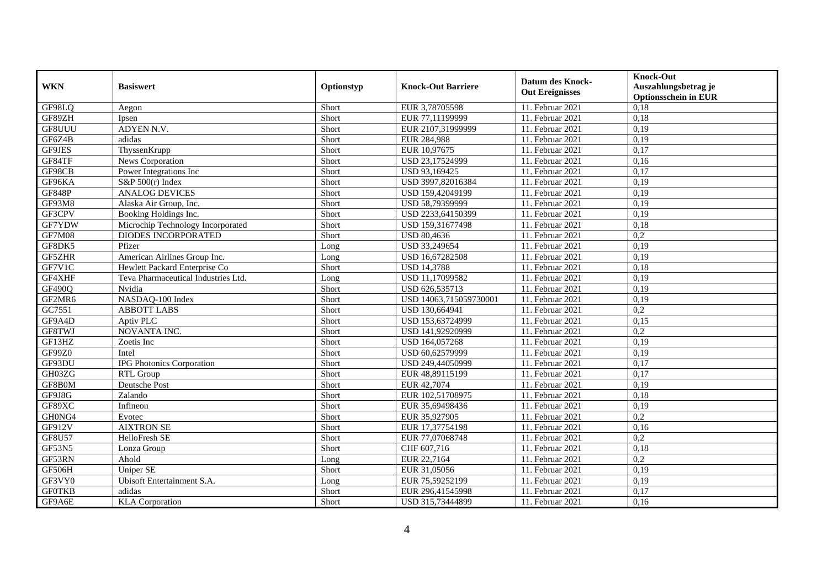| <b>WKN</b>    | <b>Basiswert</b>                    | Optionstyp | <b>Knock-Out Barriere</b> | <b>Datum des Knock-</b><br><b>Out Ereignisses</b> | <b>Knock-Out</b><br>Auszahlungsbetrag je<br><b>Optionsschein in EUR</b> |
|---------------|-------------------------------------|------------|---------------------------|---------------------------------------------------|-------------------------------------------------------------------------|
| GF98LQ        | Aegon                               | Short      | EUR 3,78705598            | $11.$ Februar 2021                                | 0,18                                                                    |
| GF89ZH        | Ipsen                               | Short      | EUR 77,11199999           | 11. Februar 2021                                  | 0,18                                                                    |
| GF8UUU        | ADYEN N.V.                          | Short      | EUR 2107,31999999         | 11. Februar 2021                                  | 0,19                                                                    |
| GF6Z4B        | adidas                              | Short      | EUR 284,988               | 11. Februar 2021                                  | 0,19                                                                    |
| GF9JES        | ThyssenKrupp                        | Short      | EUR 10,97675              | 11. Februar 2021                                  | 0,17                                                                    |
| GF84TF        | News Corporation                    | Short      | USD 23,17524999           | 11. Februar 2021                                  | 0,16                                                                    |
| GF98CB        | Power Integrations Inc              | Short      | USD 93,169425             | 11. Februar 2021                                  | 0,17                                                                    |
| GF96KA        | S&P $500(r)$ Index                  | Short      | USD 3997,82016384         | 11. Februar 2021                                  | 0,19                                                                    |
| <b>GF848P</b> | <b>ANALOG DEVICES</b>               | Short      | USD 159,42049199          | 11. Februar 2021                                  | 0,19                                                                    |
| GF93M8        | Alaska Air Group, Inc.              | Short      | USD 58,79399999           | 11. Februar 2021                                  | 0,19                                                                    |
| GF3CPV        | Booking Holdings Inc.               | Short      | USD 2233,64150399         | 11. Februar 2021                                  | 0,19                                                                    |
| GF7YDW        | Microchip Technology Incorporated   | Short      | USD 159,31677498          | 11. Februar 2021                                  | 0,18                                                                    |
| <b>GF7M08</b> | DIODES INCORPORATED                 | Short      | <b>USD 80,4636</b>        | 11. Februar 2021                                  | 0,2                                                                     |
| GF8DK5        | Pfizer                              | Long       | USD 33,249654             | 11. Februar 2021                                  | 0,19                                                                    |
| GF5ZHR        | American Airlines Group Inc.        | Long       | USD 16,67282508           | 11. Februar 2021                                  | 0,19                                                                    |
| GF7V1C        | Hewlett Packard Enterprise Co       | Short      | <b>USD 14,3788</b>        | 11. Februar 2021                                  | 0,18                                                                    |
| GF4XHF        | Teva Pharmaceutical Industries Ltd. | Long       | USD 11,17099582           | 11. Februar 2021                                  | 0,19                                                                    |
| <b>GF490Q</b> | Nvidia                              | Short      | USD 626,535713            | 11. Februar 2021                                  | 0.19                                                                    |
| GF2MR6        | NASDAQ-100 Index                    | Short      | USD 14063,715059730001    | 11. Februar 2021                                  | 0,19                                                                    |
| GC7551        | <b>ABBOTT LABS</b>                  | Short      | USD 130,664941            | 11. Februar 2021                                  | 0,2                                                                     |
| GF9A4D        | Aptiv PLC                           | Short      | USD 153,63724999          | 11. Februar 2021                                  | 0,15                                                                    |
| GF8TWJ        | NOVANTA INC.                        | Short      | USD 141,92920999          | 11. Februar 2021                                  | $\overline{0,2}$                                                        |
| GF13HZ        | Zoetis Inc                          | Short      | USD 164,057268            | 11. Februar 2021                                  | 0,19                                                                    |
| GF99Z0        | Intel                               | Short      | USD 60,62579999           | 11. Februar 2021                                  | 0,19                                                                    |
| GF93DU        | <b>IPG Photonics Corporation</b>    | Short      | USD 249,44050999          | 11. Februar 2021                                  | 0,17                                                                    |
| GH03ZG        | <b>RTL Group</b>                    | Short      | EUR 48,89115199           | 11. Februar 2021                                  | 0,17                                                                    |
| GF8B0M        | Deutsche Post                       | Short      | EUR 42,7074               | 11. Februar 2021                                  | 0,19                                                                    |
| GF9J8G        | Zalando                             | Short      | EUR 102,51708975          | $11.$ Februar 2021                                | 0,18                                                                    |
| GF89XC        | Infineon                            | Short      | EUR 35,69498436           | 11. Februar 2021                                  | 0,19                                                                    |
| GH0NG4        | Evotec                              | Short      | EUR 35,927905             | 11. Februar 2021                                  | $\overline{0.2}$                                                        |
| GF912V        | <b>AIXTRON SE</b>                   | Short      | EUR 17,37754198           | 11. Februar 2021                                  | 0,16                                                                    |
| <b>GF8U57</b> | HelloFresh SE                       | Short      | EUR 77,07068748           | 11. Februar 2021                                  | 0,2                                                                     |
| <b>GF53N5</b> | Lonza Group                         | Short      | CHF 607,716               | 11. Februar 2021                                  | 0,18                                                                    |
| GF53RN        | Ahold                               | Long       | EUR 22,7164               | 11. Februar 2021                                  | 0,2                                                                     |
| GF506H        | Uniper SE                           | Short      | EUR 31,05056              | 11. Februar 2021                                  | 0,19                                                                    |
| GF3VY0        | Ubisoft Entertainment S.A.          | Long       | EUR 75,59252199           | 11. Februar 2021                                  | 0,19                                                                    |
| <b>GFOTKB</b> | adidas                              | Short      | EUR 296,41545998          | 11. Februar 2021                                  | 0,17                                                                    |
| GF9A6E        | <b>KLA</b> Corporation              | Short      | USD 315,73444899          | 11. Februar 2021                                  | 0,16                                                                    |